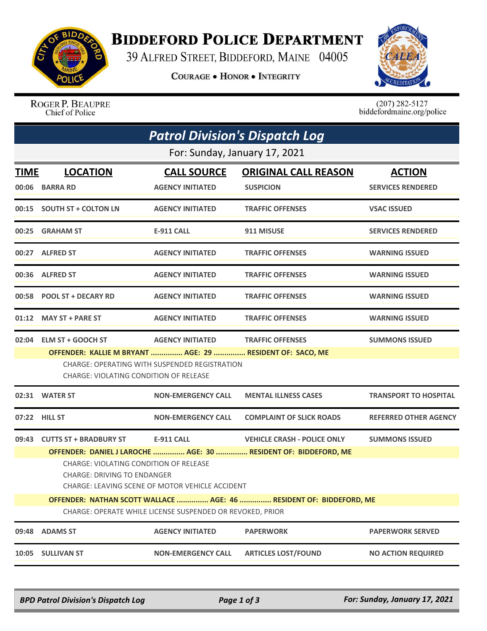

## **BIDDEFORD POLICE DEPARTMENT**

39 ALFRED STREET, BIDDEFORD, MAINE 04005

**COURAGE . HONOR . INTEGRITY** 



ROGER P. BEAUPRE Chief of Police

 $(207)$  282-5127<br>biddefordmaine.org/police

| <b>Patrol Division's Dispatch Log</b>                     |                                                                     |                                                      |                                                                 |                              |  |  |  |  |
|-----------------------------------------------------------|---------------------------------------------------------------------|------------------------------------------------------|-----------------------------------------------------------------|------------------------------|--|--|--|--|
| For: Sunday, January 17, 2021                             |                                                                     |                                                      |                                                                 |                              |  |  |  |  |
| <b>TIME</b>                                               | <b>LOCATION</b>                                                     | <b>CALL SOURCE</b>                                   | <b>ORIGINAL CALL REASON</b>                                     | <b>ACTION</b>                |  |  |  |  |
| 00:06                                                     | <b>BARRA RD</b>                                                     | <b>AGENCY INITIATED</b>                              | <b>SUSPICION</b>                                                | <b>SERVICES RENDERED</b>     |  |  |  |  |
|                                                           | 00:15 SOUTH ST + COLTON LN                                          | <b>AGENCY INITIATED</b>                              | <b>TRAFFIC OFFENSES</b>                                         | <b>VSAC ISSUED</b>           |  |  |  |  |
| 00:25                                                     | <b>GRAHAM ST</b>                                                    | E-911 CALL                                           | 911 MISUSE                                                      | <b>SERVICES RENDERED</b>     |  |  |  |  |
|                                                           | 00:27 ALFRED ST                                                     | <b>AGENCY INITIATED</b>                              | <b>TRAFFIC OFFENSES</b>                                         | <b>WARNING ISSUED</b>        |  |  |  |  |
|                                                           | 00:36 ALFRED ST                                                     | <b>AGENCY INITIATED</b>                              | <b>TRAFFIC OFFENSES</b>                                         | <b>WARNING ISSUED</b>        |  |  |  |  |
| 00:58                                                     | <b>POOL ST + DECARY RD</b>                                          | <b>AGENCY INITIATED</b>                              | <b>TRAFFIC OFFENSES</b>                                         | <b>WARNING ISSUED</b>        |  |  |  |  |
|                                                           | 01:12 MAY ST + PARE ST                                              | <b>AGENCY INITIATED</b>                              | <b>TRAFFIC OFFENSES</b>                                         | <b>WARNING ISSUED</b>        |  |  |  |  |
|                                                           | 02:04 ELM ST + GOOCH ST                                             | <b>AGENCY INITIATED</b>                              | <b>TRAFFIC OFFENSES</b>                                         | <b>SUMMONS ISSUED</b>        |  |  |  |  |
|                                                           | OFFENDER: KALLIE M BRYANT  AGE: 29  RESIDENT OF: SACO, ME           |                                                      |                                                                 |                              |  |  |  |  |
|                                                           | CHARGE: VIOLATING CONDITION OF RELEASE                              | <b>CHARGE: OPERATING WITH SUSPENDED REGISTRATION</b> |                                                                 |                              |  |  |  |  |
| 02:31                                                     | <b>WATER ST</b>                                                     | <b>NON-EMERGENCY CALL</b>                            | <b>MENTAL ILLNESS CASES</b>                                     | <b>TRANSPORT TO HOSPITAL</b> |  |  |  |  |
| 07:22                                                     | <b>HILL ST</b>                                                      | <b>NON-EMERGENCY CALL</b>                            | <b>COMPLAINT OF SLICK ROADS</b>                                 | <b>REFERRED OTHER AGENCY</b> |  |  |  |  |
|                                                           | 09:43 CUTTS ST + BRADBURY ST                                        | <b>E-911 CALL</b>                                    | <b>VEHICLE CRASH - POLICE ONLY</b>                              | <b>SUMMONS ISSUED</b>        |  |  |  |  |
|                                                           |                                                                     |                                                      | OFFENDER: DANIEL J LAROCHE  AGE: 30  RESIDENT OF: BIDDEFORD, ME |                              |  |  |  |  |
|                                                           | <b>CHARGE: VIOLATING CONDITION OF RELEASE</b>                       |                                                      |                                                                 |                              |  |  |  |  |
|                                                           | <b>CHARGE: DRIVING TO ENDANGER</b>                                  |                                                      |                                                                 |                              |  |  |  |  |
|                                                           | CHARGE: LEAVING SCENE OF MOTOR VEHICLE ACCIDENT                     |                                                      |                                                                 |                              |  |  |  |  |
|                                                           | OFFENDER: NATHAN SCOTT WALLACE  AGE: 46  RESIDENT OF: BIDDEFORD, ME |                                                      |                                                                 |                              |  |  |  |  |
| CHARGE: OPERATE WHILE LICENSE SUSPENDED OR REVOKED, PRIOR |                                                                     |                                                      |                                                                 |                              |  |  |  |  |
| 09:48                                                     | <b>ADAMS ST</b>                                                     | <b>AGENCY INITIATED</b>                              | <b>PAPERWORK</b>                                                | <b>PAPERWORK SERVED</b>      |  |  |  |  |
| 10:05                                                     | <b>SULLIVAN ST</b>                                                  | <b>NON-EMERGENCY CALL</b>                            | <b>ARTICLES LOST/FOUND</b>                                      | <b>NO ACTION REQUIRED</b>    |  |  |  |  |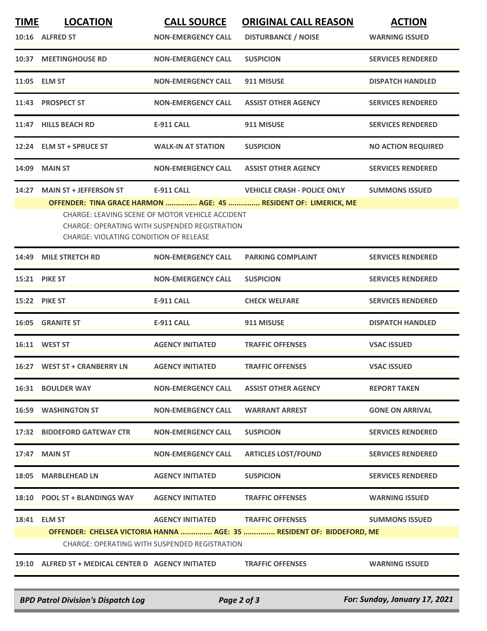| <b>TIME</b>                                                                                                                                       | <b>LOCATION</b>                                     | <b>CALL SOURCE</b>                                   | <b>ORIGINAL CALL REASON</b>                                           | <b>ACTION</b>             |  |
|---------------------------------------------------------------------------------------------------------------------------------------------------|-----------------------------------------------------|------------------------------------------------------|-----------------------------------------------------------------------|---------------------------|--|
|                                                                                                                                                   | 10:16 ALFRED ST                                     | <b>NON-EMERGENCY CALL</b>                            | <b>DISTURBANCE / NOISE</b>                                            | <b>WARNING ISSUED</b>     |  |
|                                                                                                                                                   | <b>10:37 MEETINGHOUSE RD</b>                        | <b>NON-EMERGENCY CALL</b>                            | <b>SUSPICION</b>                                                      | <b>SERVICES RENDERED</b>  |  |
|                                                                                                                                                   | 11:05 ELM ST                                        | <b>NON-EMERGENCY CALL</b>                            | 911 MISUSE                                                            | <b>DISPATCH HANDLED</b>   |  |
|                                                                                                                                                   | 11:43 PROSPECT ST                                   | <b>NON-EMERGENCY CALL</b>                            | <b>ASSIST OTHER AGENCY</b>                                            | <b>SERVICES RENDERED</b>  |  |
|                                                                                                                                                   | 11:47 HILLS BEACH RD                                | <b>E-911 CALL</b>                                    | 911 MISUSE                                                            | <b>SERVICES RENDERED</b>  |  |
| 12:24                                                                                                                                             | <b>ELM ST + SPRUCE ST</b>                           | <b>WALK-IN AT STATION</b>                            | <b>SUSPICION</b>                                                      | <b>NO ACTION REQUIRED</b> |  |
| 14:09                                                                                                                                             | <b>MAIN ST</b>                                      | <b>NON-EMERGENCY CALL</b>                            | <b>ASSIST OTHER AGENCY</b>                                            | <b>SERVICES RENDERED</b>  |  |
| 14:27                                                                                                                                             | <b>MAIN ST + JEFFERSON ST</b>                       | <b>E-911 CALL</b>                                    | <b>VEHICLE CRASH - POLICE ONLY</b>                                    | <b>SUMMONS ISSUED</b>     |  |
|                                                                                                                                                   |                                                     |                                                      | OFFENDER: TINA GRACE HARMON  AGE: 45  RESIDENT OF: LIMERICK, ME       |                           |  |
| CHARGE: LEAVING SCENE OF MOTOR VEHICLE ACCIDENT<br>CHARGE: OPERATING WITH SUSPENDED REGISTRATION<br><b>CHARGE: VIOLATING CONDITION OF RELEASE</b> |                                                     |                                                      |                                                                       |                           |  |
| 14:49                                                                                                                                             | <b>MILE STRETCH RD</b>                              | <b>NON-EMERGENCY CALL</b>                            | <b>PARKING COMPLAINT</b>                                              | <b>SERVICES RENDERED</b>  |  |
|                                                                                                                                                   | <b>15:21 PIKE ST</b>                                | <b>NON-EMERGENCY CALL</b>                            | <b>SUSPICION</b>                                                      | <b>SERVICES RENDERED</b>  |  |
|                                                                                                                                                   | <b>15:22 PIKE ST</b>                                | <b>E-911 CALL</b>                                    | <b>CHECK WELFARE</b>                                                  | <b>SERVICES RENDERED</b>  |  |
| 16:05                                                                                                                                             | <b>GRANITE ST</b>                                   | <b>E-911 CALL</b>                                    | 911 MISUSE                                                            | <b>DISPATCH HANDLED</b>   |  |
|                                                                                                                                                   | <b>16:11 WEST ST</b>                                | <b>AGENCY INITIATED</b>                              | <b>TRAFFIC OFFENSES</b>                                               | <b>VSAC ISSUED</b>        |  |
|                                                                                                                                                   | 16:27 WEST ST + CRANBERRY LN                        | <b>AGENCY INITIATED</b>                              | <b>TRAFFIC OFFENSES</b>                                               | <b>VSAC ISSUED</b>        |  |
|                                                                                                                                                   | <b>16:31 BOULDER WAY</b>                            |                                                      | NON-EMERGENCY CALL ASSIST OTHER AGENCY                                | <b>REPORT TAKEN</b>       |  |
|                                                                                                                                                   | <b>16:59 WASHINGTON ST</b>                          | <b>NON-EMERGENCY CALL</b>                            | <b>WARRANT ARREST</b>                                                 | <b>GONE ON ARRIVAL</b>    |  |
|                                                                                                                                                   | 17:32 BIDDEFORD GATEWAY CTR                         | <b>NON-EMERGENCY CALL</b>                            | <b>SUSPICION</b>                                                      | <b>SERVICES RENDERED</b>  |  |
|                                                                                                                                                   | 17:47 MAIN ST                                       | <b>NON-EMERGENCY CALL</b>                            | <b>ARTICLES LOST/FOUND</b>                                            | <b>SERVICES RENDERED</b>  |  |
|                                                                                                                                                   | 18:05 MARBLEHEAD LN                                 | <b>AGENCY INITIATED</b>                              | <b>SUSPICION</b>                                                      | <b>SERVICES RENDERED</b>  |  |
|                                                                                                                                                   | 18:10 POOL ST + BLANDINGS WAY AGENCY INITIATED      |                                                      | <b>TRAFFIC OFFENSES</b>                                               | <b>WARNING ISSUED</b>     |  |
|                                                                                                                                                   | 18:41 ELM ST                                        |                                                      | AGENCY INITIATED TRAFFIC OFFENSES                                     | <b>SUMMONS ISSUED</b>     |  |
|                                                                                                                                                   |                                                     | <b>CHARGE: OPERATING WITH SUSPENDED REGISTRATION</b> | OFFENDER: CHELSEA VICTORIA HANNA  AGE: 35  RESIDENT OF: BIDDEFORD, ME |                           |  |
|                                                                                                                                                   | 19:10 ALFRED ST + MEDICAL CENTER D AGENCY INITIATED |                                                      | <b>TRAFFIC OFFENSES</b>                                               | <b>WARNING ISSUED</b>     |  |
|                                                                                                                                                   |                                                     |                                                      |                                                                       |                           |  |

*BPD Patrol Division's Dispatch Log Page 2 of 3 For: Sunday, January 17, 2021*